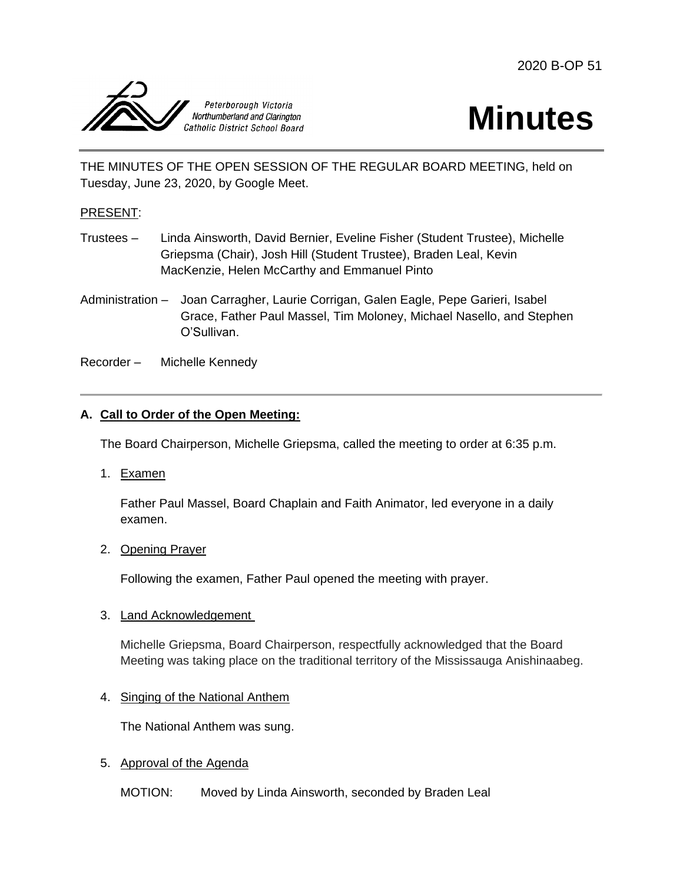



THE MINUTES OF THE OPEN SESSION OF THE REGULAR BOARD MEETING, held on Tuesday, June 23, 2020, by Google Meet.

#### PRESENT:

- Trustees Linda Ainsworth, David Bernier, Eveline Fisher (Student Trustee), Michelle Griepsma (Chair), Josh Hill (Student Trustee), Braden Leal, Kevin MacKenzie, Helen McCarthy and Emmanuel Pinto
- Administration Joan Carragher, Laurie Corrigan, Galen Eagle, Pepe Garieri, Isabel Grace, Father Paul Massel, Tim Moloney, Michael Nasello, and Stephen O'Sullivan.

Recorder – Michelle Kennedy

## **A. Call to Order of the Open Meeting:**

The Board Chairperson, Michelle Griepsma, called the meeting to order at 6:35 p.m.

1. Examen

Father Paul Massel, Board Chaplain and Faith Animator, led everyone in a daily examen.

2. Opening Prayer

Following the examen, Father Paul opened the meeting with prayer.

3. Land Acknowledgement

Michelle Griepsma, Board Chairperson, respectfully acknowledged that the Board Meeting was taking place on the traditional territory of the Mississauga Anishinaabeg.

4. Singing of the National Anthem

The National Anthem was sung.

5. Approval of the Agenda

MOTION: Moved by Linda Ainsworth, seconded by Braden Leal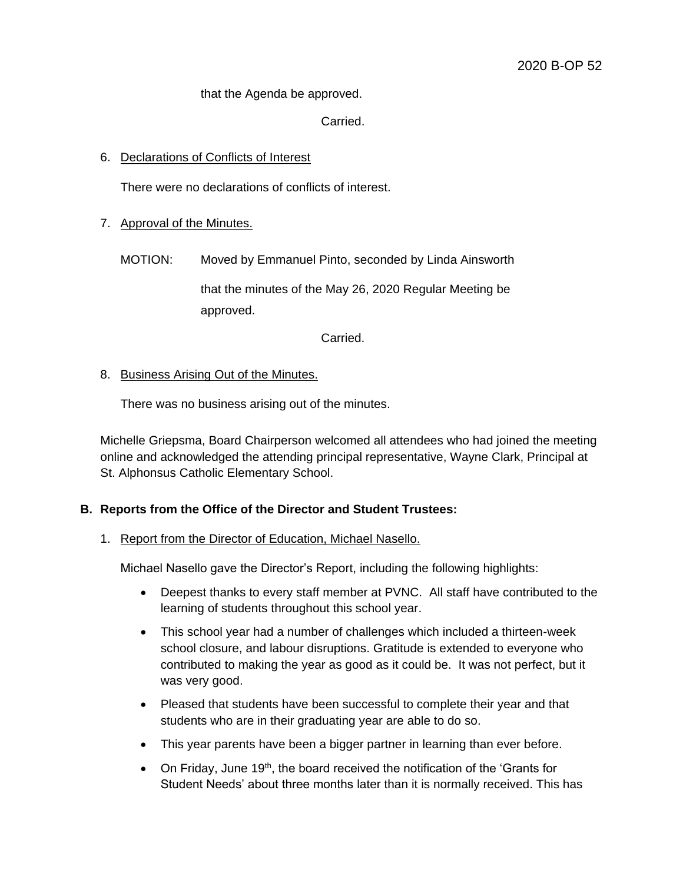that the Agenda be approved.

Carried.

## 6. Declarations of Conflicts of Interest

There were no declarations of conflicts of interest.

- 7. Approval of the Minutes.
	- MOTION: Moved by Emmanuel Pinto, seconded by Linda Ainsworth

that the minutes of the May 26, 2020 Regular Meeting be approved.

Carried.

## 8. Business Arising Out of the Minutes.

There was no business arising out of the minutes.

Michelle Griepsma, Board Chairperson welcomed all attendees who had joined the meeting online and acknowledged the attending principal representative, Wayne Clark, Principal at St. Alphonsus Catholic Elementary School.

## **B. Reports from the Office of the Director and Student Trustees:**

#### 1. Report from the Director of Education, Michael Nasello.

Michael Nasello gave the Director's Report, including the following highlights:

- Deepest thanks to every staff member at PVNC. All staff have contributed to the learning of students throughout this school year.
- This school year had a number of challenges which included a thirteen-week school closure, and labour disruptions. Gratitude is extended to everyone who contributed to making the year as good as it could be. It was not perfect, but it was very good.
- Pleased that students have been successful to complete their year and that students who are in their graduating year are able to do so.
- This year parents have been a bigger partner in learning than ever before.
- On Friday, June 19<sup>th</sup>, the board received the notification of the 'Grants for Student Needs' about three months later than it is normally received. This has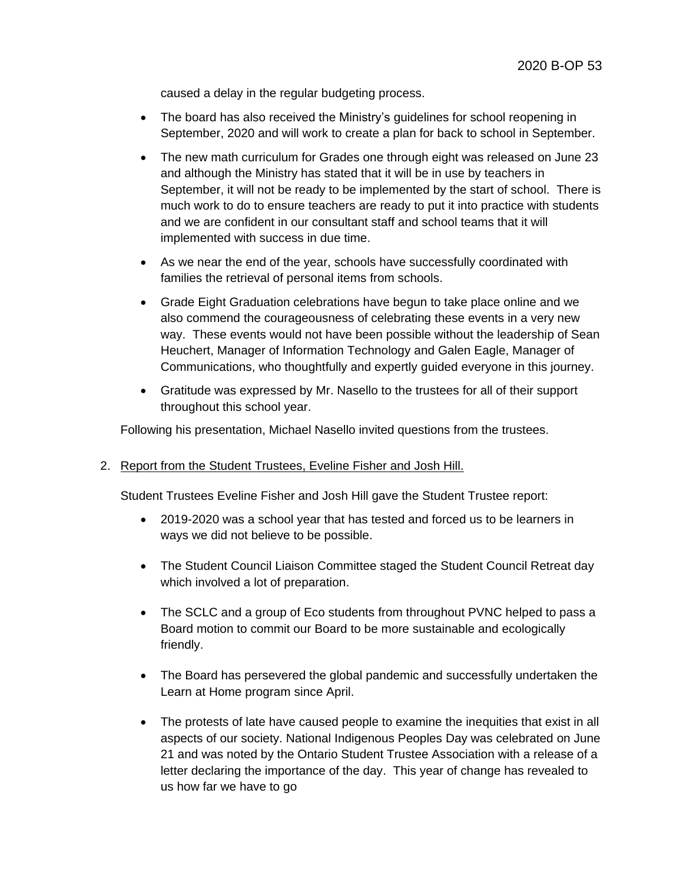caused a delay in the regular budgeting process.

- The board has also received the Ministry's guidelines for school reopening in September, 2020 and will work to create a plan for back to school in September.
- The new math curriculum for Grades one through eight was released on June 23 and although the Ministry has stated that it will be in use by teachers in September, it will not be ready to be implemented by the start of school. There is much work to do to ensure teachers are ready to put it into practice with students and we are confident in our consultant staff and school teams that it will implemented with success in due time.
- As we near the end of the year, schools have successfully coordinated with families the retrieval of personal items from schools.
- Grade Eight Graduation celebrations have begun to take place online and we also commend the courageousness of celebrating these events in a very new way. These events would not have been possible without the leadership of Sean Heuchert, Manager of Information Technology and Galen Eagle, Manager of Communications, who thoughtfully and expertly guided everyone in this journey.
- Gratitude was expressed by Mr. Nasello to the trustees for all of their support throughout this school year.

Following his presentation, Michael Nasello invited questions from the trustees.

#### 2. Report from the Student Trustees, Eveline Fisher and Josh Hill.

Student Trustees Eveline Fisher and Josh Hill gave the Student Trustee report:

- 2019-2020 was a school year that has tested and forced us to be learners in ways we did not believe to be possible.
- The Student Council Liaison Committee staged the Student Council Retreat day which involved a lot of preparation.
- The SCLC and a group of Eco students from throughout PVNC helped to pass a Board motion to commit our Board to be more sustainable and ecologically friendly.
- The Board has persevered the global pandemic and successfully undertaken the Learn at Home program since April.
- The protests of late have caused people to examine the inequities that exist in all aspects of our society. National Indigenous Peoples Day was celebrated on June 21 and was noted by the Ontario Student Trustee Association with a release of a letter declaring the importance of the day. This year of change has revealed to us how far we have to go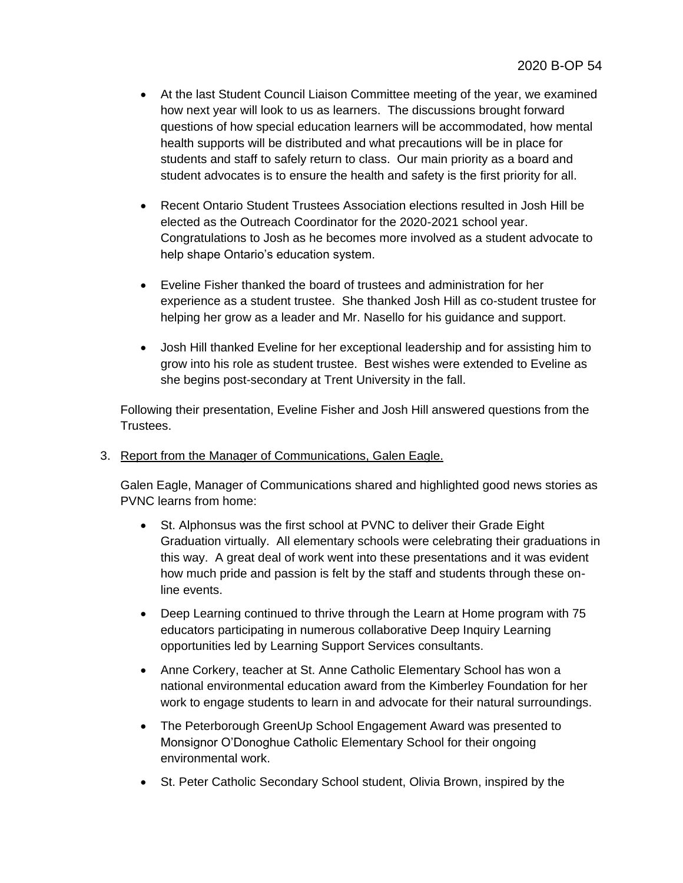- At the last Student Council Liaison Committee meeting of the year, we examined how next year will look to us as learners. The discussions brought forward questions of how special education learners will be accommodated, how mental health supports will be distributed and what precautions will be in place for students and staff to safely return to class. Our main priority as a board and student advocates is to ensure the health and safety is the first priority for all.
- Recent Ontario Student Trustees Association elections resulted in Josh Hill be elected as the Outreach Coordinator for the 2020-2021 school year. Congratulations to Josh as he becomes more involved as a student advocate to help shape Ontario's education system.
- Eveline Fisher thanked the board of trustees and administration for her experience as a student trustee. She thanked Josh Hill as co-student trustee for helping her grow as a leader and Mr. Nasello for his guidance and support.
- Josh Hill thanked Eveline for her exceptional leadership and for assisting him to grow into his role as student trustee. Best wishes were extended to Eveline as she begins post-secondary at Trent University in the fall.

Following their presentation, Eveline Fisher and Josh Hill answered questions from the Trustees.

3. Report from the Manager of Communications, Galen Eagle.

Galen Eagle, Manager of Communications shared and highlighted good news stories as PVNC learns from home:

- St. Alphonsus was the first school at PVNC to deliver their Grade Eight Graduation virtually. All elementary schools were celebrating their graduations in this way. A great deal of work went into these presentations and it was evident how much pride and passion is felt by the staff and students through these online events.
- Deep Learning continued to thrive through the Learn at Home program with 75 educators participating in numerous collaborative Deep Inquiry Learning opportunities led by Learning Support Services consultants.
- Anne Corkery, teacher at St. Anne Catholic Elementary School has won a national environmental education award from the Kimberley Foundation for her work to engage students to learn in and advocate for their natural surroundings.
- The Peterborough GreenUp School Engagement Award was presented to Monsignor O'Donoghue Catholic Elementary School for their ongoing environmental work.
- St. Peter Catholic Secondary School student, Olivia Brown, inspired by the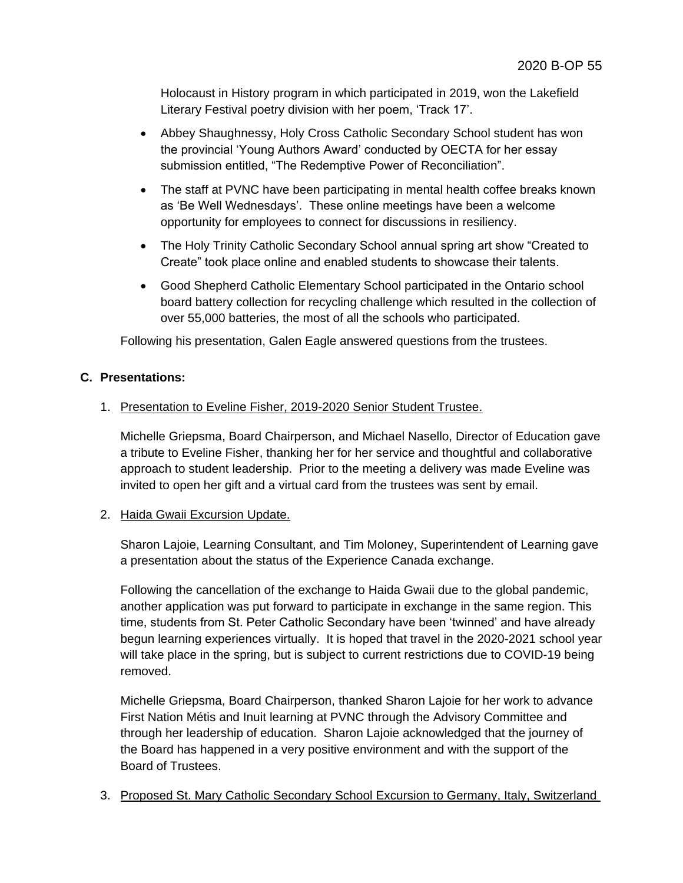Holocaust in History program in which participated in 2019, won the Lakefield Literary Festival poetry division with her poem, 'Track 17'.

- Abbey Shaughnessy, Holy Cross Catholic Secondary School student has won the provincial 'Young Authors Award' conducted by OECTA for her essay submission entitled, "The Redemptive Power of Reconciliation".
- The staff at PVNC have been participating in mental health coffee breaks known as 'Be Well Wednesdays'. These online meetings have been a welcome opportunity for employees to connect for discussions in resiliency.
- The Holy Trinity Catholic Secondary School annual spring art show "Created to Create" took place online and enabled students to showcase their talents.
- Good Shepherd Catholic Elementary School participated in the Ontario school board battery collection for recycling challenge which resulted in the collection of over 55,000 batteries, the most of all the schools who participated.

Following his presentation, Galen Eagle answered questions from the trustees.

## **C. Presentations:**

## 1. Presentation to Eveline Fisher, 2019-2020 Senior Student Trustee.

Michelle Griepsma, Board Chairperson, and Michael Nasello, Director of Education gave a tribute to Eveline Fisher, thanking her for her service and thoughtful and collaborative approach to student leadership. Prior to the meeting a delivery was made Eveline was invited to open her gift and a virtual card from the trustees was sent by email.

## 2. Haida Gwaii Excursion Update.

Sharon Lajoie, Learning Consultant, and Tim Moloney, Superintendent of Learning gave a presentation about the status of the Experience Canada exchange.

Following the cancellation of the exchange to Haida Gwaii due to the global pandemic, another application was put forward to participate in exchange in the same region. This time, students from St. Peter Catholic Secondary have been 'twinned' and have already begun learning experiences virtually. It is hoped that travel in the 2020-2021 school year will take place in the spring, but is subject to current restrictions due to COVID-19 being removed.

Michelle Griepsma, Board Chairperson, thanked Sharon Lajoie for her work to advance First Nation Métis and Inuit learning at PVNC through the Advisory Committee and through her leadership of education. Sharon Lajoie acknowledged that the journey of the Board has happened in a very positive environment and with the support of the Board of Trustees.

3. Proposed St. Mary Catholic Secondary School Excursion to Germany, Italy, Switzerland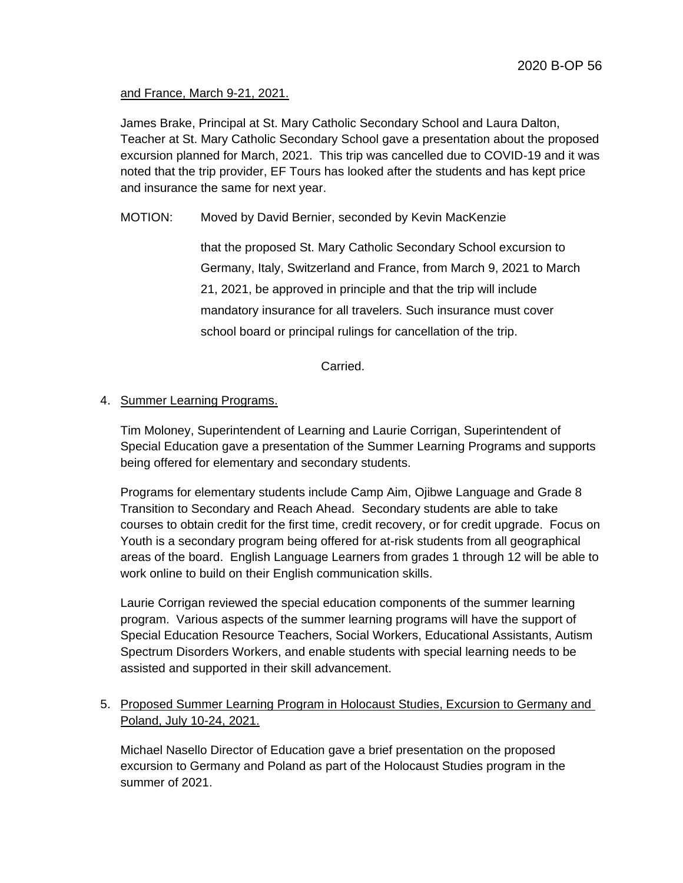## and France, March 9-21, 2021.

James Brake, Principal at St. Mary Catholic Secondary School and Laura Dalton, Teacher at St. Mary Catholic Secondary School gave a presentation about the proposed excursion planned for March, 2021. This trip was cancelled due to COVID-19 and it was noted that the trip provider, EF Tours has looked after the students and has kept price and insurance the same for next year.

## MOTION: Moved by David Bernier, seconded by Kevin MacKenzie

that the proposed St. Mary Catholic Secondary School excursion to Germany, Italy, Switzerland and France, from March 9, 2021 to March 21, 2021, be approved in principle and that the trip will include mandatory insurance for all travelers. Such insurance must cover school board or principal rulings for cancellation of the trip.

Carried.

## 4. Summer Learning Programs.

Tim Moloney, Superintendent of Learning and Laurie Corrigan, Superintendent of Special Education gave a presentation of the Summer Learning Programs and supports being offered for elementary and secondary students.

Programs for elementary students include Camp Aim, Ojibwe Language and Grade 8 Transition to Secondary and Reach Ahead. Secondary students are able to take courses to obtain credit for the first time, credit recovery, or for credit upgrade. Focus on Youth is a secondary program being offered for at-risk students from all geographical areas of the board. English Language Learners from grades 1 through 12 will be able to work online to build on their English communication skills.

Laurie Corrigan reviewed the special education components of the summer learning program. Various aspects of the summer learning programs will have the support of Special Education Resource Teachers, Social Workers, Educational Assistants, Autism Spectrum Disorders Workers, and enable students with special learning needs to be assisted and supported in their skill advancement.

# 5. Proposed Summer Learning Program in Holocaust Studies, Excursion to Germany and Poland, July 10-24, 2021.

Michael Nasello Director of Education gave a brief presentation on the proposed excursion to Germany and Poland as part of the Holocaust Studies program in the summer of 2021.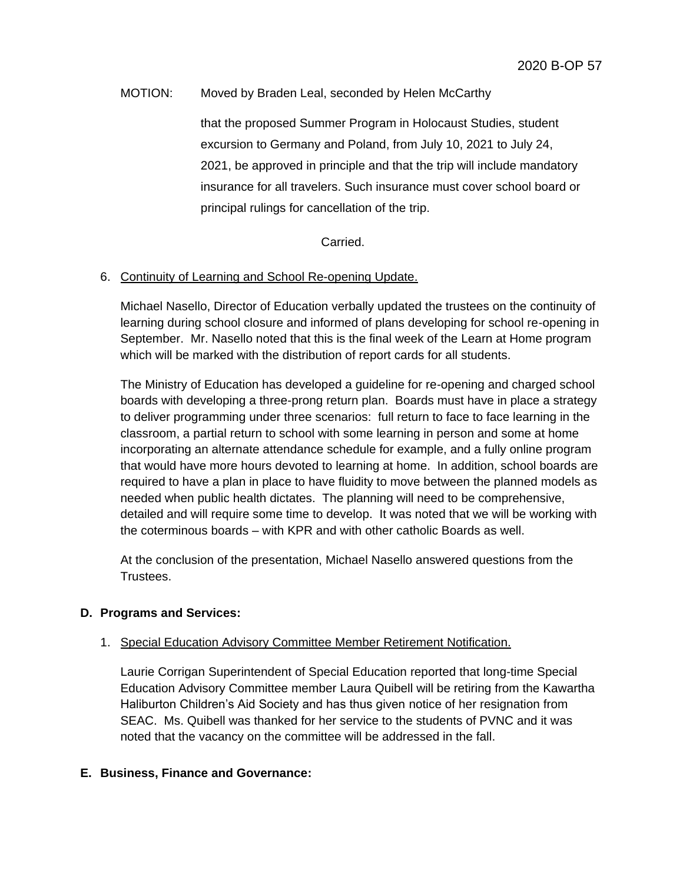## MOTION: Moved by Braden Leal, seconded by Helen McCarthy

that the proposed Summer Program in Holocaust Studies, student excursion to Germany and Poland, from July 10, 2021 to July 24, 2021, be approved in principle and that the trip will include mandatory insurance for all travelers. Such insurance must cover school board or principal rulings for cancellation of the trip.

## Carried.

## 6. Continuity of Learning and School Re-opening Update.

Michael Nasello, Director of Education verbally updated the trustees on the continuity of learning during school closure and informed of plans developing for school re-opening in September. Mr. Nasello noted that this is the final week of the Learn at Home program which will be marked with the distribution of report cards for all students.

The Ministry of Education has developed a guideline for re-opening and charged school boards with developing a three-prong return plan. Boards must have in place a strategy to deliver programming under three scenarios: full return to face to face learning in the classroom, a partial return to school with some learning in person and some at home incorporating an alternate attendance schedule for example, and a fully online program that would have more hours devoted to learning at home. In addition, school boards are required to have a plan in place to have fluidity to move between the planned models as needed when public health dictates. The planning will need to be comprehensive, detailed and will require some time to develop. It was noted that we will be working with the coterminous boards – with KPR and with other catholic Boards as well.

At the conclusion of the presentation, Michael Nasello answered questions from the Trustees.

#### **D. Programs and Services:**

#### 1. Special Education Advisory Committee Member Retirement Notification.

Laurie Corrigan Superintendent of Special Education reported that long-time Special Education Advisory Committee member Laura Quibell will be retiring from the Kawartha Haliburton Children's Aid Society and has thus given notice of her resignation from SEAC. Ms. Quibell was thanked for her service to the students of PVNC and it was noted that the vacancy on the committee will be addressed in the fall.

#### **E. Business, Finance and Governance:**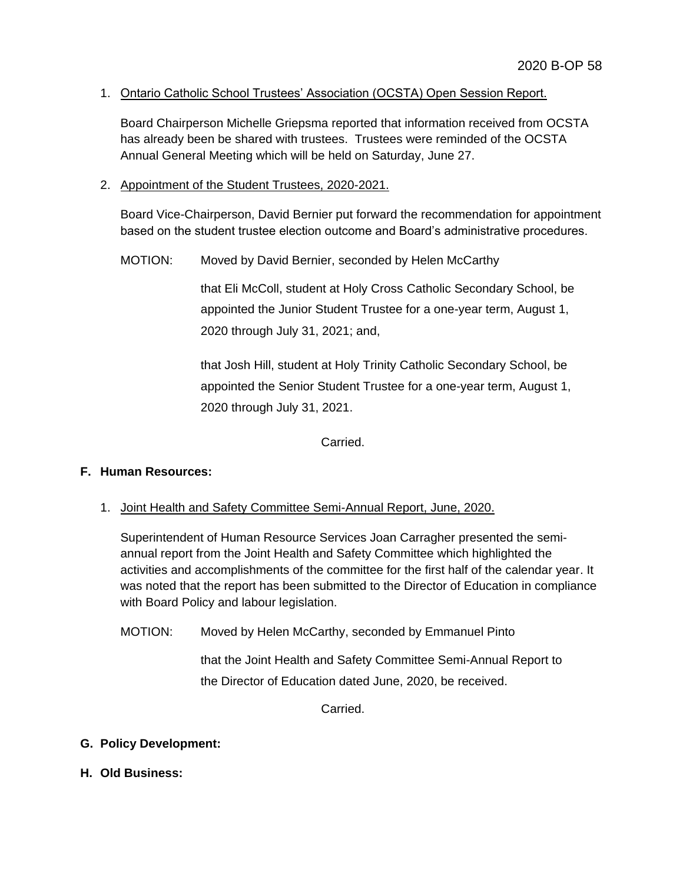## 1. Ontario Catholic School Trustees' Association (OCSTA) Open Session Report.

Board Chairperson Michelle Griepsma reported that information received from OCSTA has already been be shared with trustees. Trustees were reminded of the OCSTA Annual General Meeting which will be held on Saturday, June 27.

2. Appointment of the Student Trustees, 2020-2021.

Board Vice-Chairperson, David Bernier put forward the recommendation for appointment based on the student trustee election outcome and Board's administrative procedures.

MOTION: Moved by David Bernier, seconded by Helen McCarthy

that Eli McColl, student at Holy Cross Catholic Secondary School, be appointed the Junior Student Trustee for a one-year term, August 1, 2020 through July 31, 2021; and,

that Josh Hill, student at Holy Trinity Catholic Secondary School, be appointed the Senior Student Trustee for a one-year term, August 1, 2020 through July 31, 2021.

Carried.

## **F. Human Resources:**

1. Joint Health and Safety Committee Semi-Annual Report, June, 2020.

Superintendent of Human Resource Services Joan Carragher presented the semiannual report from the Joint Health and Safety Committee which highlighted the activities and accomplishments of the committee for the first half of the calendar year. It was noted that the report has been submitted to the Director of Education in compliance with Board Policy and labour legislation.

MOTION: Moved by Helen McCarthy, seconded by Emmanuel Pinto

that the Joint Health and Safety Committee Semi-Annual Report to the Director of Education dated June, 2020, be received.

Carried.

## **G. Policy Development:**

**H. Old Business:**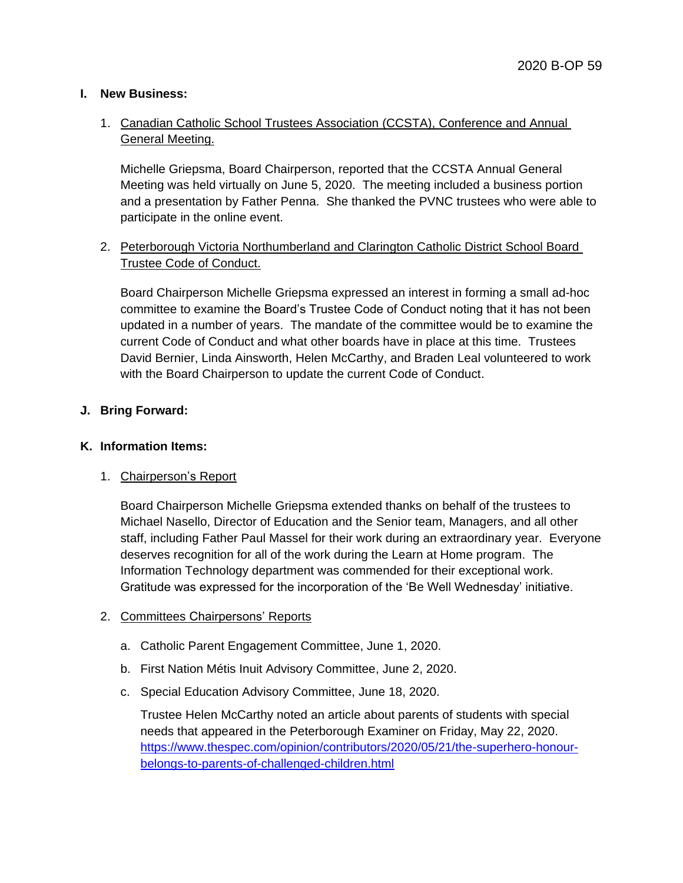## **I. New Business:**

# 1. Canadian Catholic School Trustees Association (CCSTA), Conference and Annual General Meeting.

Michelle Griepsma, Board Chairperson, reported that the CCSTA Annual General Meeting was held virtually on June 5, 2020. The meeting included a business portion and a presentation by Father Penna. She thanked the PVNC trustees who were able to participate in the online event.

# 2. Peterborough Victoria Northumberland and Clarington Catholic District School Board Trustee Code of Conduct.

Board Chairperson Michelle Griepsma expressed an interest in forming a small ad-hoc committee to examine the Board's Trustee Code of Conduct noting that it has not been updated in a number of years. The mandate of the committee would be to examine the current Code of Conduct and what other boards have in place at this time. Trustees David Bernier, Linda Ainsworth, Helen McCarthy, and Braden Leal volunteered to work with the Board Chairperson to update the current Code of Conduct.

## **J. Bring Forward:**

#### **K. Information Items:**

## 1. Chairperson's Report

Board Chairperson Michelle Griepsma extended thanks on behalf of the trustees to Michael Nasello, Director of Education and the Senior team, Managers, and all other staff, including Father Paul Massel for their work during an extraordinary year. Everyone deserves recognition for all of the work during the Learn at Home program. The Information Technology department was commended for their exceptional work. Gratitude was expressed for the incorporation of the 'Be Well Wednesday' initiative.

#### 2. Committees Chairpersons' Reports

- a. Catholic Parent Engagement Committee, June 1, 2020.
- b. First Nation Métis Inuit Advisory Committee, June 2, 2020.
- c. Special Education Advisory Committee, June 18, 2020.

Trustee Helen McCarthy noted an article about parents of students with special needs that appeared in the Peterborough Examiner on Friday, May 22, 2020. [https://www.thespec.com/opinion/contributors/2020/05/21/the-superhero-honour](https://www.thespec.com/opinion/contributors/2020/05/21/the-superhero-honour-belongs-to-parents-of-challenged-children.html)[belongs-to-parents-of-challenged-children.html](https://www.thespec.com/opinion/contributors/2020/05/21/the-superhero-honour-belongs-to-parents-of-challenged-children.html)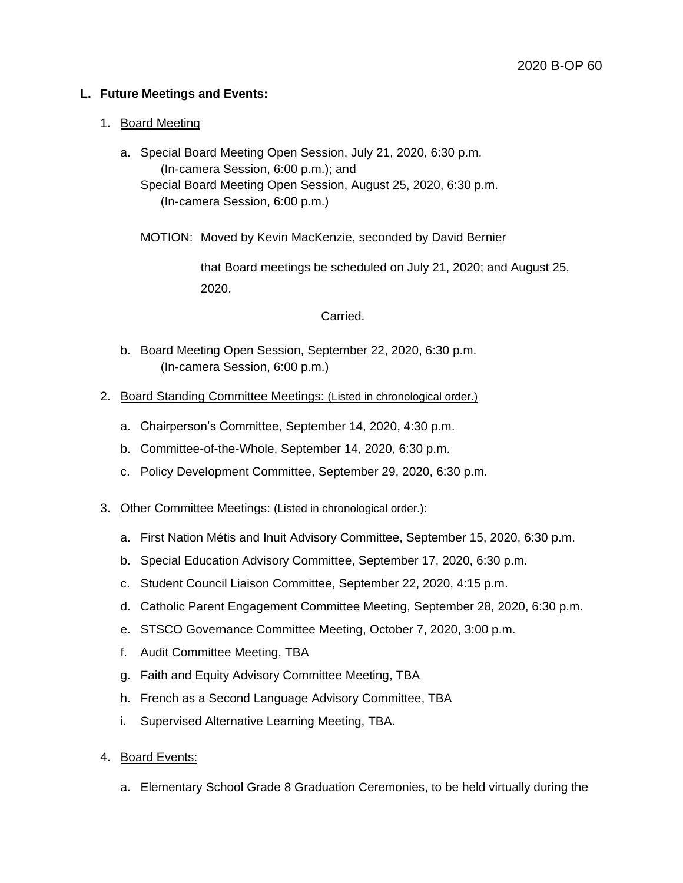## **L. Future Meetings and Events:**

#### 1. Board Meeting

a. Special Board Meeting Open Session, July 21, 2020, 6:30 p.m. (In-camera Session, 6:00 p.m.); and Special Board Meeting Open Session, August 25, 2020, 6:30 p.m. (In-camera Session, 6:00 p.m.)

MOTION: Moved by Kevin MacKenzie, seconded by David Bernier

that Board meetings be scheduled on July 21, 2020; and August 25, 2020.

#### Carried.

- b. Board Meeting Open Session, September 22, 2020, 6:30 p.m. (In-camera Session, 6:00 p.m.)
- 2. Board Standing Committee Meetings: (Listed in chronological order.)
	- a. Chairperson's Committee, September 14, 2020, 4:30 p.m.
	- b. Committee-of-the-Whole, September 14, 2020, 6:30 p.m.
	- c. Policy Development Committee, September 29, 2020, 6:30 p.m.

#### 3. Other Committee Meetings: (Listed in chronological order.):

- a. First Nation Métis and Inuit Advisory Committee, September 15, 2020, 6:30 p.m.
- b. Special Education Advisory Committee, September 17, 2020, 6:30 p.m.
- c. Student Council Liaison Committee, September 22, 2020, 4:15 p.m.
- d. Catholic Parent Engagement Committee Meeting, September 28, 2020, 6:30 p.m.
- e. STSCO Governance Committee Meeting, October 7, 2020, 3:00 p.m.
- f. Audit Committee Meeting, TBA
- g. Faith and Equity Advisory Committee Meeting, TBA
- h. French as a Second Language Advisory Committee, TBA
- i. Supervised Alternative Learning Meeting, TBA.
- 4. Board Events:
	- a. Elementary School Grade 8 Graduation Ceremonies, to be held virtually during the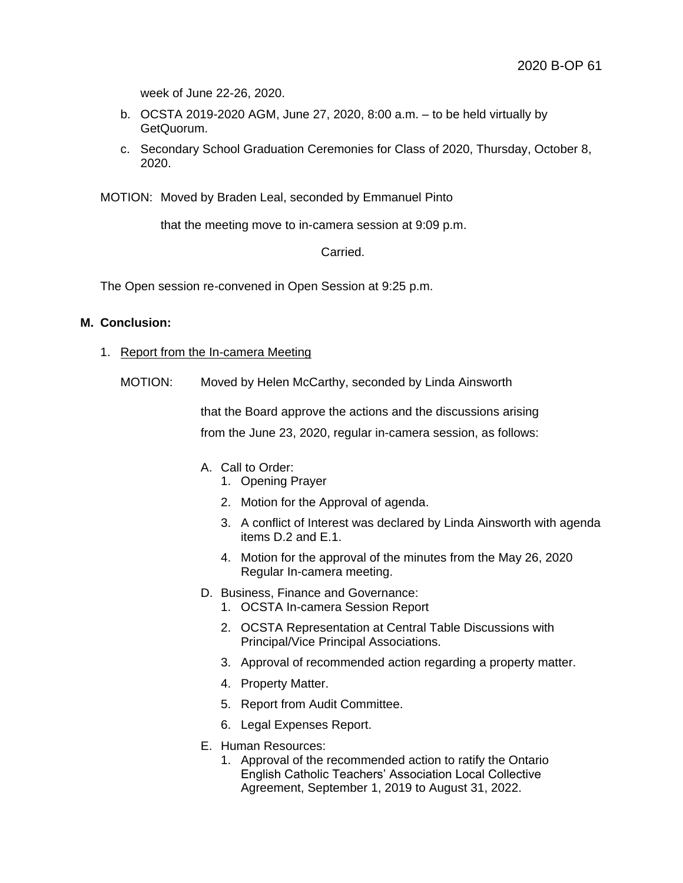week of June 22-26, 2020.

- b. OCSTA 2019-2020 AGM, June 27, 2020, 8:00 a.m. to be held virtually by GetQuorum.
- c. Secondary School Graduation Ceremonies for Class of 2020, Thursday, October 8, 2020.

MOTION: Moved by Braden Leal, seconded by Emmanuel Pinto

that the meeting move to in-camera session at 9:09 p.m.

Carried.

The Open session re-convened in Open Session at 9:25 p.m.

#### **M. Conclusion:**

- 1. Report from the In-camera Meeting
	- MOTION: Moved by Helen McCarthy, seconded by Linda Ainsworth

that the Board approve the actions and the discussions arising from the June 23, 2020, regular in-camera session, as follows:

- A. Call to Order:
	- 1. Opening Prayer
	- 2. Motion for the Approval of agenda.
	- 3. A conflict of Interest was declared by Linda Ainsworth with agenda items D.2 and E.1.
	- 4. Motion for the approval of the minutes from the May 26, 2020 Regular In-camera meeting.
- D. Business, Finance and Governance:
	- 1. OCSTA In-camera Session Report
	- 2. OCSTA Representation at Central Table Discussions with Principal/Vice Principal Associations.
	- 3. Approval of recommended action regarding a property matter.
	- 4. Property Matter.
	- 5. Report from Audit Committee.
	- 6. Legal Expenses Report.
- E. Human Resources:
	- 1. Approval of the recommended action to ratify the Ontario English Catholic Teachers' Association Local Collective Agreement, September 1, 2019 to August 31, 2022.